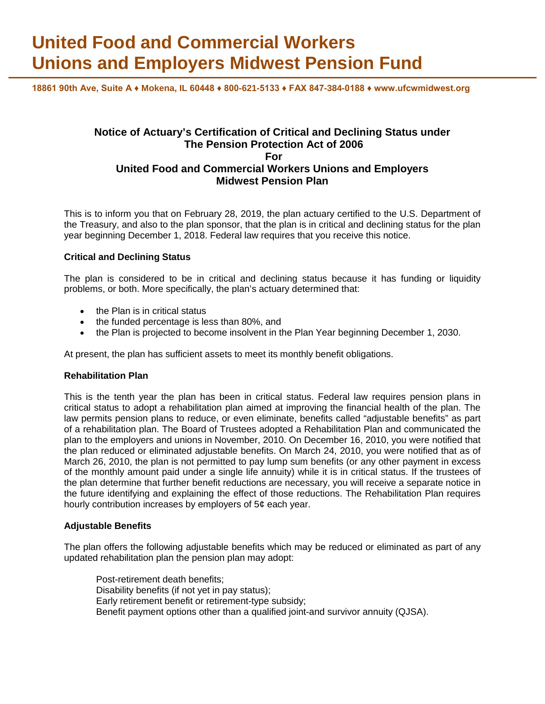# **United Food and Commercial Workers Unions and Employers Midwest Pension Fund**

**18861 90th Ave, Suite A ♦ Mokena, IL 60448 ♦ 800-621-5133 ♦ FAX 847-384-0188 ♦ www.ufcwmidwest.org**

# **Notice of Actuary's Certification of Critical and Declining Status under The Pension Protection Act of 2006 For United Food and Commercial Workers Unions and Employers Midwest Pension Plan**

This is to inform you that on February 28, 2019, the plan actuary certified to the U.S. Department of the Treasury, and also to the plan sponsor, that the plan is in critical and declining status for the plan year beginning December 1, 2018. Federal law requires that you receive this notice.

### **Critical and Declining Status**

The plan is considered to be in critical and declining status because it has funding or liquidity problems, or both. More specifically, the plan's actuary determined that:

- the Plan is in critical status
- the funded percentage is less than 80%, and
- the Plan is projected to become insolvent in the Plan Year beginning December 1, 2030.

At present, the plan has sufficient assets to meet its monthly benefit obligations.

#### **Rehabilitation Plan**

This is the tenth year the plan has been in critical status. Federal law requires pension plans in critical status to adopt a rehabilitation plan aimed at improving the financial health of the plan. The law permits pension plans to reduce, or even eliminate, benefits called "adjustable benefits" as part of a rehabilitation plan. The Board of Trustees adopted a Rehabilitation Plan and communicated the plan to the employers and unions in November, 2010. On December 16, 2010, you were notified that the plan reduced or eliminated adjustable benefits. On March 24, 2010, you were notified that as of March 26, 2010, the plan is not permitted to pay lump sum benefits (or any other payment in excess of the monthly amount paid under a single life annuity) while it is in critical status. If the trustees of the plan determine that further benefit reductions are necessary, you will receive a separate notice in the future identifying and explaining the effect of those reductions. The Rehabilitation Plan requires hourly contribution increases by employers of 5¢ each year.

#### **Adjustable Benefits**

The plan offers the following adjustable benefits which may be reduced or eliminated as part of any updated rehabilitation plan the pension plan may adopt:

Post-retirement death benefits; Disability benefits (if not yet in pay status); Early retirement benefit or retirement-type subsidy; Benefit payment options other than a qualified joint-and survivor annuity (QJSA).